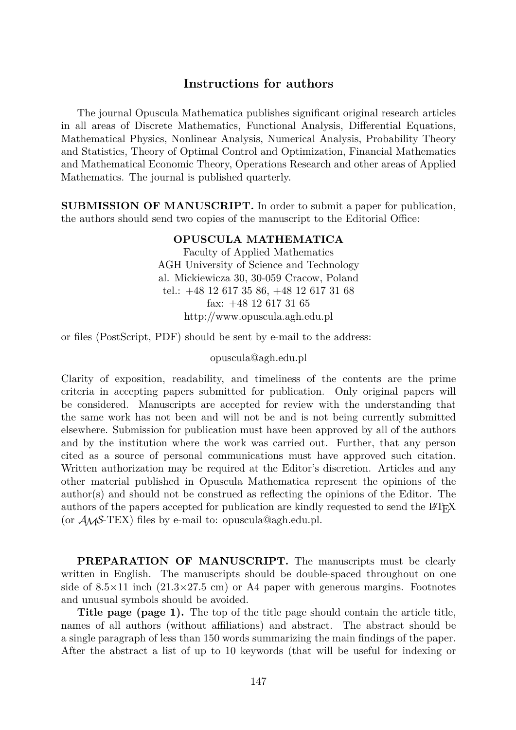## Instructions for authors

The journal Opuscula Mathematica publishes significant original research articles in all areas of Discrete Mathematics, Functional Analysis, Differential Equations, Mathematical Physics, Nonlinear Analysis, Numerical Analysis, Probability Theory and Statistics, Theory of Optimal Control and Optimization, Financial Mathematics and Mathematical Economic Theory, Operations Research and other areas of Applied Mathematics. The journal is published quarterly.

SUBMISSION OF MANUSCRIPT. In order to submit a paper for publication, the authors should send two copies of the manuscript to the Editorial Office:

## OPUSCULA MATHEMATICA

Faculty of Applied Mathematics AGH University of Science and Technology al. Mickiewicza 30, 30-059 Cracow, Poland tel.: +48 12 617 35 86, +48 12 617 31 68 fax: +48 12 617 31 65 http://www.opuscula.agh.edu.pl

or files (PostScript, PDF) should be sent by e-mail to the address:

## opuscula@agh.edu.pl

Clarity of exposition, readability, and timeliness of the contents are the prime criteria in accepting papers submitted for publication. Only original papers will be considered. Manuscripts are accepted for review with the understanding that the same work has not been and will not be and is not being currently submitted elsewhere. Submission for publication must have been approved by all of the authors and by the institution where the work was carried out. Further, that any person cited as a source of personal communications must have approved such citation. Written authorization may be required at the Editor's discretion. Articles and any other material published in Opuscula Mathematica represent the opinions of the author(s) and should not be construed as reflecting the opinions of the Editor. The authors of the papers accepted for publication are kindly requested to send the LAT<sub>EX</sub> (or *AMS*-TEX) files by e-mail to: opuscula@agh.edu.pl.

PREPARATION OF MANUSCRIPT. The manuscripts must be clearly written in English. The manuscripts should be double-spaced throughout on one side of 8.5*×*11 inch (21.3*×*27.5 cm) or A4 paper with generous margins. Footnotes and unusual symbols should be avoided.

Title page (page 1). The top of the title page should contain the article title, names of all authors (without affiliations) and abstract. The abstract should be a single paragraph of less than 150 words summarizing the main findings of the paper. After the abstract a list of up to 10 keywords (that will be useful for indexing or